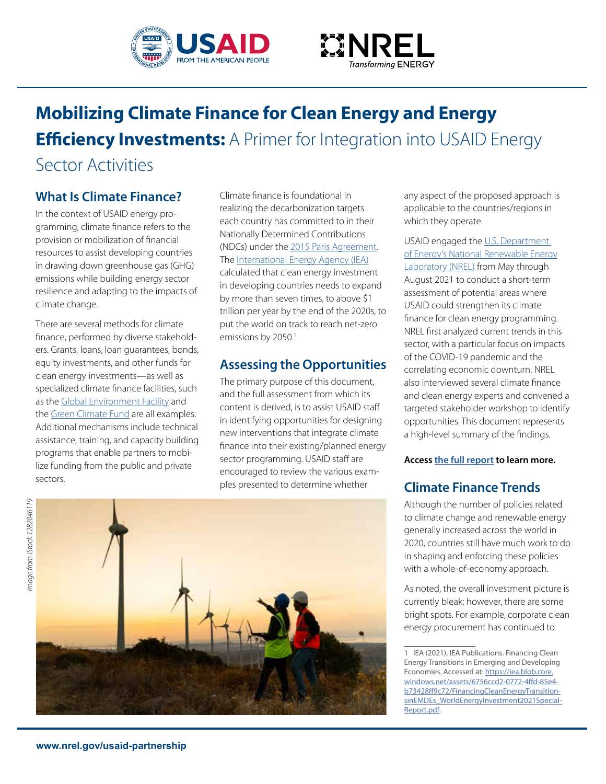



# **Mobilizing Climate Finance for Clean Energy and Energy Efficiency Investments:** A Primer for Integration into USAID Energy Sector Activities

## **What Is Climate Finance?**

In the context of USAID energy programming, climate fnance refers to the provision or mobilization of fnancial resources to assist developing countries in drawing down greenhouse gas (GHG) emissions while building energy sector resilience and adapting to the impacts of climate change.

There are several methods for climate fnance, performed by diverse stakeholders. Grants, loans, loan guarantees, bonds, equity investments, and other funds for clean energy investments—as well as specialized climate fnance facilities, such as the Global Environment Facility and the Green Climate Fund are all examples. Additional mechanisms include technical assistance, training, and capacity building programs that enable partners to mobilize funding from the public and private sectors.

Climate fnance is foundational in realizing the decarbonization targets each country has committed to in their Nationally Determined Contributions (NDCs) under the 2015 Paris Agreement. The International Energy Agency (IEA) calculated that clean energy investment in developing countries needs to expand by more than seven times, to above \$1 trillion per year by the end of the 2020s, to put the world on track to reach net-zero emissions by 2050.<sup>1</sup>

## **Assessing the Opportunities**

The primary purpose of this document, and the full assessment from which its content is derived, is to assist USAID staf in identifying opportunities for designing new interventions that integrate climate fnance into their existing/planned energy sector programming. USAID staff are encouraged to review the various examples presented to determine whether

any aspect of the proposed approach is applicable to the countries/regions in which they operate.

USAID engaged the U.S. Department of Energy's National Renewable Energy Laboratory (NREL) from May through August 2021 to conduct a short-term assessment of potential areas where USAID could strengthen its climate fnance for clean energy programming. NREL frst analyzed current trends in this sector, with a particular focus on impacts of the COVID-19 pandemic and the correlating economic downturn. NREL also interviewed several climate fnance and clean energy experts and convened a targeted stakeholder workshop to identify opportunities. This document represents a high-level summary of the fndings.

**Access the full report to learn more.** 

## **Climate Finance Trends**

Although the number of policies related to climate change and renewable energy generally increased across the world in 2020, countries still have much work to do in shaping and enforcing these policies with a whole-of-economy approach.

As noted, the overall investment picture is currently bleak; however, there are some bright spots. For example, corporate clean energy procurement has continued to



<sup>1</sup> IEA (2021), IEA Publications. Financing Clean Energy Transitions in Emerging and Developing Economies. Accessed at: [https://iea.blob.core.](https://iea.blob.core) [windows.net/assets/6756ccd2-0772-4fd-85e4](https://windows.net/assets/6756ccd2-0772-4ffd-85e4) b73428f9c72/FinancingCleanEnergyTransitionsinEMDEs\_WorldEnergyInvestment2021Special-Report.pdf.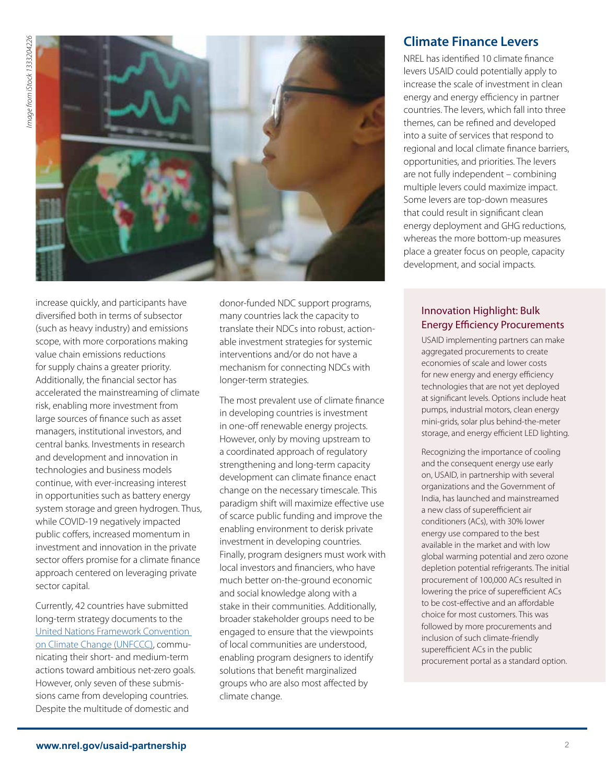

increase quickly, and participants have diversifed both in terms of subsector (such as heavy industry) and emissions scope, with more corporations making value chain emissions reductions for supply chains a greater priority. Additionally, the fnancial sector has accelerated the mainstreaming of climate risk, enabling more investment from large sources of fnance such as asset managers, institutional investors, and central banks. Investments in research and development and innovation in technologies and business models continue, with ever-increasing interest in opportunities such as battery energy system storage and green hydrogen. Thus, while COVID-19 negatively impacted public coffers, increased momentum in investment and innovation in the private sector offers promise for a climate finance approach centered on leveraging private sector capital.

Currently, 42 countries have submitted long-term strategy documents to the United Nations Framework Convention on Climate Change (UNFCCC), communicating their short- and medium-term actions toward ambitious net-zero goals. However, only seven of these submissions came from developing countries. Despite the multitude of domestic and

donor-funded NDC support programs, many countries lack the capacity to translate their NDCs into robust, actionable investment strategies for systemic interventions and/or do not have a mechanism for connecting NDCs with longer-term strategies.

The most prevalent use of climate fnance in developing countries is investment in one-off renewable energy projects. However, only by moving upstream to a coordinated approach of regulatory strengthening and long-term capacity development can climate fnance enact change on the necessary timescale. This paradigm shift will maximize efective use of scarce public funding and improve the enabling environment to derisk private investment in developing countries. Finally, program designers must work with local investors and fnanciers, who have much better on-the-ground economic and social knowledge along with a stake in their communities. Additionally, broader stakeholder groups need to be engaged to ensure that the viewpoints of local communities are understood, enabling program designers to identify solutions that beneft marginalized groups who are also most afected by climate change.

## **Climate Finance Levers**

NREL has identifed 10 climate fnance levers USAID could potentially apply to increase the scale of investment in clean energy and energy efficiency in partner countries. The levers, which fall into three themes, can be refned and developed into a suite of services that respond to regional and local climate fnance barriers, opportunities, and priorities. The levers are not fully independent – combining multiple levers could maximize impact. Some levers are top-down measures that could result in signifcant clean energy deployment and GHG reductions, whereas the more bottom-up measures place a greater focus on people, capacity development, and social impacts.

#### Innovation Highlight: Bulk **Energy Efficiency Procurements**

USAID implementing partners can make aggregated procurements to create economies of scale and lower costs for new energy and energy efficiency technologies that are not yet deployed at signifcant levels. Options include heat pumps, industrial motors, clean energy mini-grids, solar plus behind-the-meter storage, and energy efficient LED lighting.

Recognizing the importance of cooling and the consequent energy use early on, USAID, in partnership with several organizations and the Government of India, has launched and mainstreamed a new class of superefficient air conditioners (ACs), with 30% lower energy use compared to the best available in the market and with low global warming potential and zero ozone depletion potential refrigerants. The initial procurement of 100,000 ACs resulted in lowering the price of superefficient ACs to be cost-effective and an affordable choice for most customers. This was followed by more procurements and inclusion of such climate-friendly superefficient ACs in the public procurement portal as a standard option.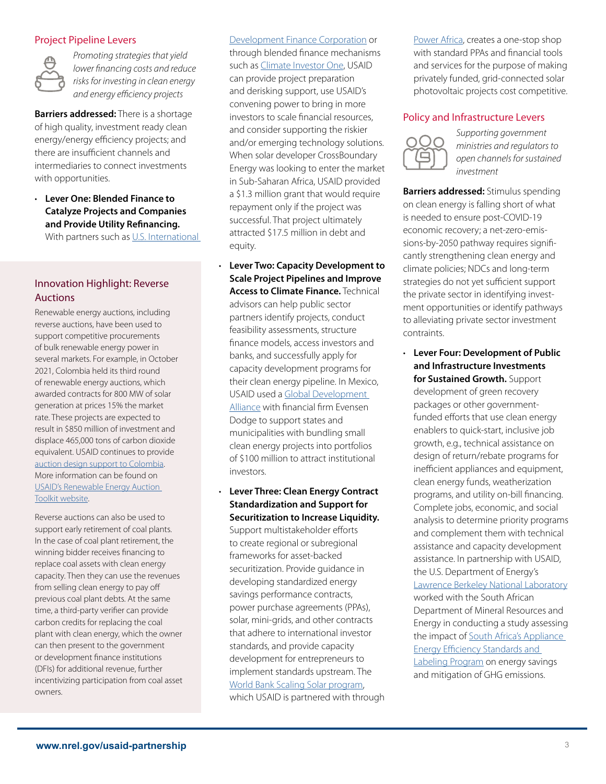#### Project Pipeline Levers



*Promoting strategies that yield lower fnancing costs and reduce risks for investing in clean energy*  and energy efficiency projects

**Barriers addressed:** There is a shortage of high quality, investment ready clean energy/energy efficiency projects; and there are insufficient channels and intermediaries to connect investments with opportunities.

• **Lever One: Blended Finance to Catalyze Projects and Companies and Provide Utility Refnancing.**  With partners such as U.S. International

## Innovation Highlight: Reverse Auctions

Renewable energy auctions, including reverse auctions, have been used to support competitive procurements of bulk renewable energy power in several markets. For example, in October 2021, Colombia held its third round of renewable energy auctions, which awarded contracts for 800 MW of solar generation at prices 15% the market rate. These projects are expected to result in \$850 million of investment and displace 465,000 tons of carbon dioxide equivalent. USAID continues to provide auction design support to Colombia. More information can be found on USAID's Renewable Energy Auction Toolkit website.

Reverse auctions can also be used to support early retirement of coal plants. In the case of coal plant retirement, the winning bidder receives fnancing to replace coal assets with clean energy capacity. Then they can use the revenues from selling clean energy to pay of previous coal plant debts. At the same time, a third-party verifer can provide carbon credits for replacing the coal plant with clean energy, which the owner can then present to the government or development fnance institutions (DFIs) for additional revenue, further incentivizing participation from coal asset owners.

Development Finance Corporation or through blended fnance mechanisms such as Climate Investor One, USAID can provide project preparation and derisking support, use USAID's convening power to bring in more investors to scale fnancial resources, and consider supporting the riskier and/or emerging technology solutions. When solar developer CrossBoundary Energy was looking to enter the market in Sub-Saharan Africa, USAID provided a \$1.3 million grant that would require repayment only if the project was successful. That project ultimately attracted \$17.5 million in debt and equity.

- **Lever Two: Capacity Development to Scale Project Pipelines and Improve Access to Climate Finance.** Technical advisors can help public sector partners identify projects, conduct feasibility assessments, structure fnance models, access investors and banks, and successfully apply for capacity development programs for their clean energy pipeline. In Mexico, USAID used a Global Development Alliance with fnancial frm Evensen Dodge to support states and municipalities with bundling small clean energy projects into portfolios of \$100 million to attract institutional investors.
- **Lever Three: Clean Energy Contract Standardization and Support for Securitization to Increase Liquidity.**  Support multistakeholder efforts to create regional or subregional frameworks for asset-backed securitization. Provide guidance in developing standardized energy savings performance contracts, power purchase agreements (PPAs), solar, mini-grids, and other contracts that adhere to international investor standards, and provide capacity development for entrepreneurs to implement standards upstream. The World Bank Scaling Solar program, which USAID is partnered with through

Power Africa, creates a one-stop shop with standard PPAs and fnancial tools and services for the purpose of making privately funded, grid-connected solar photovoltaic projects cost competitive.

#### Policy and Infrastructure Levers



*Supporting government ministries and regulators to open channels for sustained investment* 

**Barriers addressed:** Stimulus spending on clean energy is falling short of what is needed to ensure post-COVID-19 economic recovery; a net-zero-emissions-by-2050 pathway requires signifcantly strengthening clean energy and climate policies; NDCs and long-term strategies do not yet sufficient support the private sector in identifying investment opportunities or identify pathways to alleviating private sector investment contraints.

• **Lever Four: Development of Public and Infrastructure Investments for Sustained Growth.** Support development of green recovery packages or other governmentfunded efforts that use clean energy enablers to quick-start, inclusive job growth, e.g., technical assistance on design of return/rebate programs for inefficient appliances and equipment, clean energy funds, weatherization programs, and utility on-bill fnancing. Complete jobs, economic, and social analysis to determine priority programs and complement them with technical assistance and capacity development assistance. In partnership with USAID, the U.S. Department of Energy's Lawrence Berkeley National Laboratory worked with the South African Department of Mineral Resources and Energy in conducting a study assessing the impact of South Africa's Appliance **Energy Efficiency Standards and** Labeling Program on energy savings and mitigation of GHG emissions.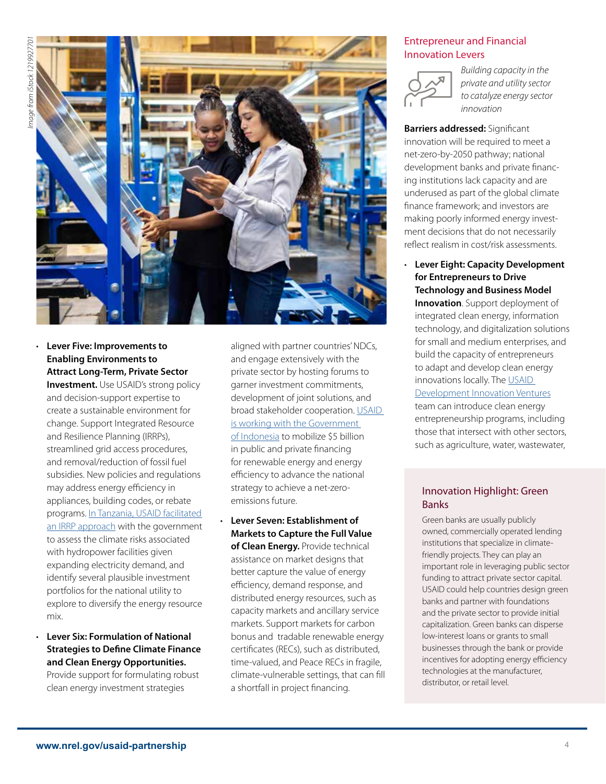

## • **Lever Five: Improvements to Enabling Environments to Attract Long-Term, Private Sector**

**Investment.** Use USAID's strong policy and decision-support expertise to create a sustainable environment for change. Support Integrated Resource and Resilience Planning (IRRPs), streamlined grid access procedures, and removal/reduction of fossil fuel subsidies. New policies and regulations may address energy efficiency in appliances, building codes, or rebate programs. In Tanzania, USAID facilitated an IRRP approach with the government to assess the climate risks associated with hydropower facilities given expanding electricity demand, and identify several plausible investment portfolios for the national utility to explore to diversify the energy resource mix.

• **Lever Six: Formulation of National Strategies to Defne Climate Finance and Clean Energy Opportunities.** 

Provide support for formulating robust clean energy investment strategies

aligned with partner countries' NDCs, and engage extensively with the private sector by hosting forums to garner investment commitments, development of joint solutions, and broad stakeholder cooperation. USAID is working with the Government of Indonesia to mobilize \$5 billion in public and private fnancing for renewable energy and energy efficiency to advance the national strategy to achieve a net-zeroemissions future.

• **Lever Seven: Establishment of Markets to Capture the Full Value of Clean Energy.** Provide technical assistance on market designs that better capture the value of energy efficiency, demand response, and distributed energy resources, such as capacity markets and ancillary service markets. Support markets for carbon bonus and tradable renewable energy certifcates (RECs), such as distributed, time-valued, and Peace RECs in fragile, climate-vulnerable settings, that can fll a shortfall in project fnancing.

### Entrepreneur and Financial Innovation Levers



*Building capacity in the private and utility sector to catalyze energy sector innovation* 

**Barriers addressed:** Signifcant innovation will be required to meet a net-zero-by-2050 pathway; national development banks and private fnancing institutions lack capacity and are underused as part of the global climate fnance framework; and investors are making poorly informed energy investment decisions that do not necessarily refect realism in cost/risk assessments.

• **Lever Eight: Capacity Development for Entrepreneurs to Drive Technology and Business Model** 

**Innovation**. Support deployment of integrated clean energy, information technology, and digitalization solutions for small and medium enterprises, and build the capacity of entrepreneurs to adapt and develop clean energy innovations locally. The USAID Development Innovation Ventures team can introduce clean energy entrepreneurship programs, including those that intersect with other sectors, such as agriculture, water, wastewater,

#### Innovation Highlight: Green Banks

Green banks are usually publicly owned, commercially operated lending institutions that specialize in climatefriendly projects. They can play an important role in leveraging public sector funding to attract private sector capital. USAID could help countries design green banks and partner with foundations and the private sector to provide initial capitalization. Green banks can disperse low-interest loans or grants to small businesses through the bank or provide incentives for adopting energy efficiency technologies at the manufacturer, distributor, or retail level.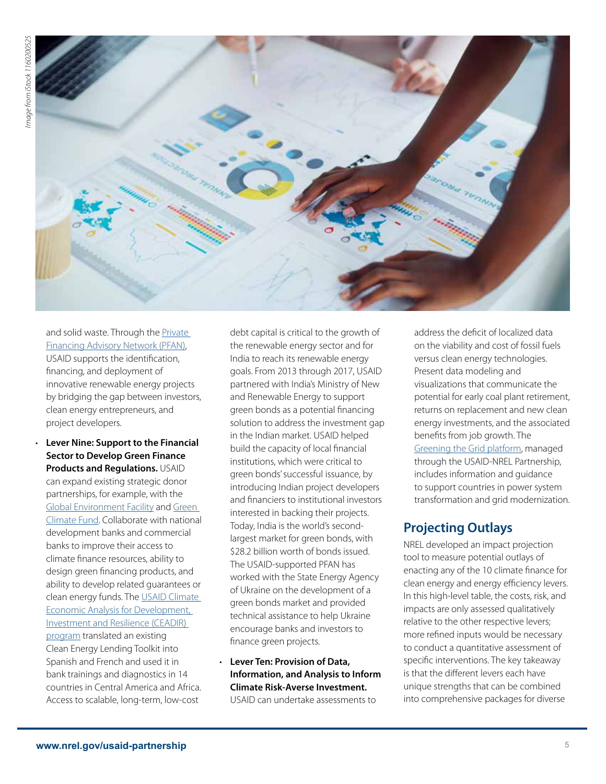

and solid waste. Through the Private Financing Advisory Network (PFAN), USAID supports the identifcation, fnancing, and deployment of innovative renewable energy projects by bridging the gap between investors, clean energy entrepreneurs, and project developers.

• **Lever Nine: Support to the Financial Sector to Develop Green Finance Products and Regulations.** USAID can expand existing strategic donor partnerships, for example, with the Global Environment Facility and Green Climate Fund. Collaborate with national development banks and commercial banks to improve their access to climate fnance resources, ability to design green fnancing products, and ability to develop related guarantees or clean energy funds. The USAID Climate Economic Analysis for Development, Investment and Resilience (CEADIR) program translated an existing Clean Energy Lending Toolkit into Spanish and French and used it in bank trainings and diagnostics in 14 countries in Central America and Africa. Access to scalable, long-term, low-cost

debt capital is critical to the growth of the renewable energy sector and for India to reach its renewable energy goals. From 2013 through 2017, USAID partnered with India's Ministry of New and Renewable Energy to support green bonds as a potential fnancing solution to address the investment gap in the Indian market. USAID helped build the capacity of local fnancial institutions, which were critical to green bonds' successful issuance, by introducing Indian project developers and fnanciers to institutional investors interested in backing their projects. Today, India is the world's secondlargest market for green bonds, with \$28.2 billion worth of bonds issued. The USAID-supported PFAN has worked with the State Energy Agency of Ukraine on the development of a green bonds market and provided technical assistance to help Ukraine encourage banks and investors to fnance green projects.

• **Lever Ten: Provision of Data, Information, and Analysis to Inform Climate Risk-Averse Investment.**  USAID can undertake assessments to

address the defcit of localized data on the viability and cost of fossil fuels versus clean energy technologies. Present data modeling and visualizations that communicate the potential for early coal plant retirement, returns on replacement and new clean energy investments, and the associated benefts from job growth. The Greening the Grid platform, managed through the USAID-NREL Partnership, includes information and guidance to support countries in power system transformation and grid modernization.

## **Projecting Outlays**

NREL developed an impact projection tool to measure potential outlays of enacting any of the 10 climate fnance for clean energy and energy efficiency levers. In this high-level table, the costs, risk, and impacts are only assessed qualitatively relative to the other respective levers; more refned inputs would be necessary to conduct a quantitative assessment of specifc interventions. The key takeaway is that the diferent levers each have unique strengths that can be combined into comprehensive packages for diverse